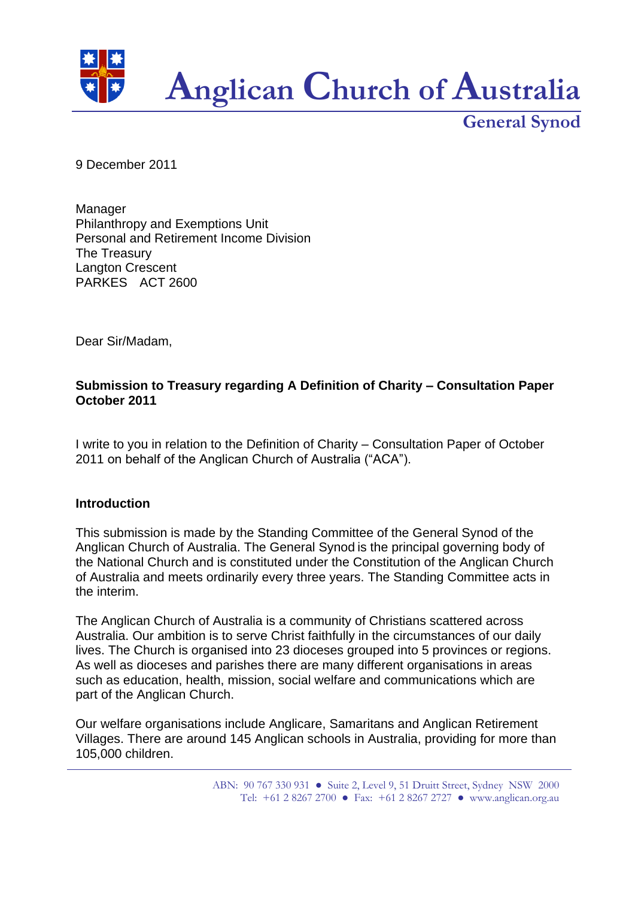

**General Synod**

9 December 2011

Manager Philanthropy and Exemptions Unit Personal and Retirement Income Division The Treasury Langton Crescent PARKES ACT 2600

Dear Sir/Madam,

## **Submission to Treasury regarding A Definition of Charity – Consultation Paper October 2011**

I write to you in relation to the Definition of Charity – Consultation Paper of October 2011 on behalf of the Anglican Church of Australia ("ACA").

## **Introduction**

This submission is made by the Standing Committee of the General Synod of the Anglican Church of Australia. The General Synod is the principal governing body of the National Church and is constituted under the Constitution of the Anglican Church of Australia and meets ordinarily every three years. The Standing Committee acts in the interim.

The Anglican Church of Australia is a community of Christians scattered across Australia. Our ambition is to serve Christ faithfully in the circumstances of our daily lives. The Church is organised into 23 dioceses grouped into 5 provinces or regions. As well as dioceses and parishes there are many different organisations in areas such as education, health, mission, social welfare and communications which are part of the Anglican Church.

Our welfare organisations include Anglicare, Samaritans and Anglican Retirement Villages. There are around 145 Anglican schools in Australia, providing for more than 105,000 children.

> ABN: 90 767 330 931 ● Suite 2, Level 9, 51 Druitt Street, Sydney NSW 2000 Tel: +61 2 8267 2700 ● Fax: +61 2 8267 2727 ● www.anglican.org.au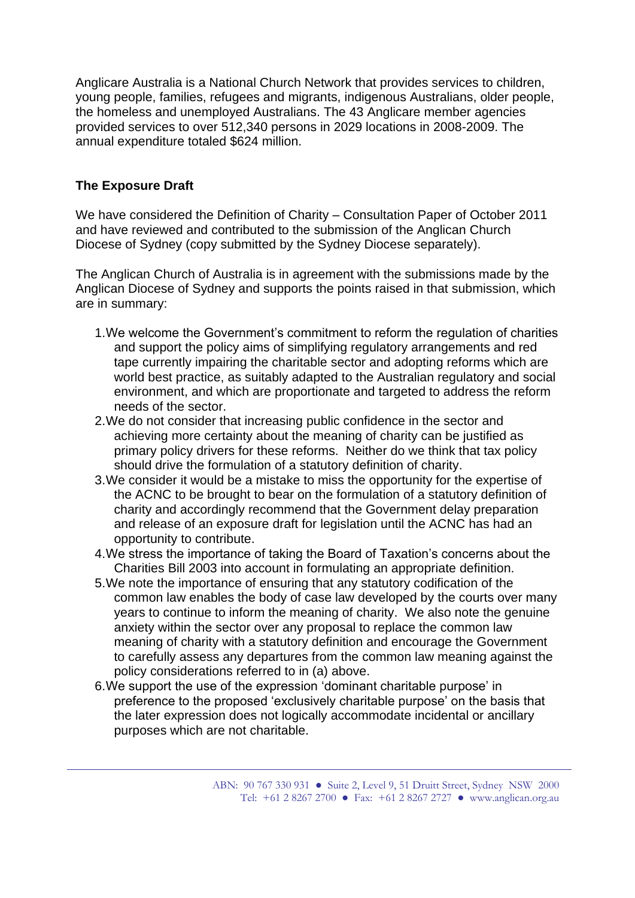Anglicare Australia is a National Church Network that provides services to children, young people, families, refugees and migrants, indigenous Australians, older people, the homeless and unemployed Australians. The 43 Anglicare member agencies provided services to over 512,340 persons in 2029 locations in 2008-2009. The annual expenditure totaled \$624 million.

## **The Exposure Draft**

We have considered the Definition of Charity – Consultation Paper of October 2011 and have reviewed and contributed to the submission of the Anglican Church Diocese of Sydney (copy submitted by the Sydney Diocese separately).

The Anglican Church of Australia is in agreement with the submissions made by the Anglican Diocese of Sydney and supports the points raised in that submission, which are in summary:

- 1.We welcome the Government's commitment to reform the regulation of charities and support the policy aims of simplifying regulatory arrangements and red tape currently impairing the charitable sector and adopting reforms which are world best practice, as suitably adapted to the Australian regulatory and social environment, and which are proportionate and targeted to address the reform needs of the sector.
- 2.We do not consider that increasing public confidence in the sector and achieving more certainty about the meaning of charity can be justified as primary policy drivers for these reforms. Neither do we think that tax policy should drive the formulation of a statutory definition of charity.
- 3.We consider it would be a mistake to miss the opportunity for the expertise of the ACNC to be brought to bear on the formulation of a statutory definition of charity and accordingly recommend that the Government delay preparation and release of an exposure draft for legislation until the ACNC has had an opportunity to contribute.
- 4.We stress the importance of taking the Board of Taxation's concerns about the Charities Bill 2003 into account in formulating an appropriate definition.
- 5.We note the importance of ensuring that any statutory codification of the common law enables the body of case law developed by the courts over many years to continue to inform the meaning of charity. We also note the genuine anxiety within the sector over any proposal to replace the common law meaning of charity with a statutory definition and encourage the Government to carefully assess any departures from the common law meaning against the policy considerations referred to in (a) above.
- 6.We support the use of the expression 'dominant charitable purpose' in preference to the proposed 'exclusively charitable purpose' on the basis that the later expression does not logically accommodate incidental or ancillary purposes which are not charitable.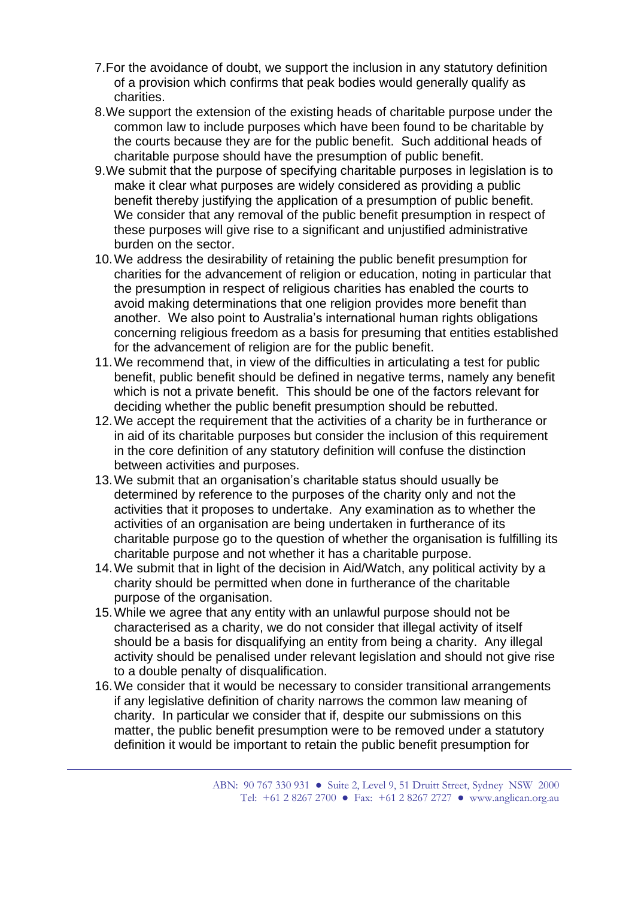- 7.For the avoidance of doubt, we support the inclusion in any statutory definition of a provision which confirms that peak bodies would generally qualify as charities.
- 8.We support the extension of the existing heads of charitable purpose under the common law to include purposes which have been found to be charitable by the courts because they are for the public benefit. Such additional heads of charitable purpose should have the presumption of public benefit.
- 9.We submit that the purpose of specifying charitable purposes in legislation is to make it clear what purposes are widely considered as providing a public benefit thereby justifying the application of a presumption of public benefit. We consider that any removal of the public benefit presumption in respect of these purposes will give rise to a significant and unjustified administrative burden on the sector.
- 10.We address the desirability of retaining the public benefit presumption for charities for the advancement of religion or education, noting in particular that the presumption in respect of religious charities has enabled the courts to avoid making determinations that one religion provides more benefit than another. We also point to Australia's international human rights obligations concerning religious freedom as a basis for presuming that entities established for the advancement of religion are for the public benefit.
- 11.We recommend that, in view of the difficulties in articulating a test for public benefit, public benefit should be defined in negative terms, namely any benefit which is not a private benefit. This should be one of the factors relevant for deciding whether the public benefit presumption should be rebutted.
- 12.We accept the requirement that the activities of a charity be in furtherance or in aid of its charitable purposes but consider the inclusion of this requirement in the core definition of any statutory definition will confuse the distinction between activities and purposes.
- 13.We submit that an organisation's charitable status should usually be determined by reference to the purposes of the charity only and not the activities that it proposes to undertake. Any examination as to whether the activities of an organisation are being undertaken in furtherance of its charitable purpose go to the question of whether the organisation is fulfilling its charitable purpose and not whether it has a charitable purpose.
- 14.We submit that in light of the decision in Aid/Watch, any political activity by a charity should be permitted when done in furtherance of the charitable purpose of the organisation.
- 15.While we agree that any entity with an unlawful purpose should not be characterised as a charity, we do not consider that illegal activity of itself should be a basis for disqualifying an entity from being a charity. Any illegal activity should be penalised under relevant legislation and should not give rise to a double penalty of disqualification.
- 16.We consider that it would be necessary to consider transitional arrangements if any legislative definition of charity narrows the common law meaning of charity. In particular we consider that if, despite our submissions on this matter, the public benefit presumption were to be removed under a statutory definition it would be important to retain the public benefit presumption for